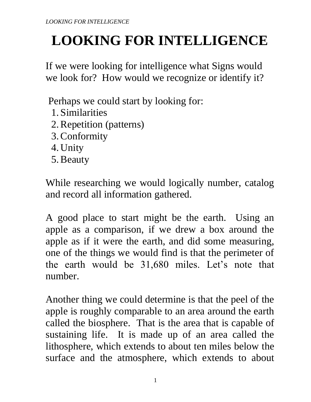If we were looking for intelligence what Signs would we look for? How would we recognize or identify it?

Perhaps we could start by looking for:

- 1. Similarities
- 2.Repetition (patterns)
- 3.Conformity
- 4. Unity
- 5.Beauty

While researching we would logically number, catalog and record all information gathered.

A good place to start might be the earth. Using an apple as a comparison, if we drew a box around the apple as if it were the earth, and did some measuring, one of the things we would find is that the perimeter of the earth would be 31,680 miles. Let's note that number.

Another thing we could determine is that the peel of the apple is roughly comparable to an area around the earth called the biosphere. That is the area that is capable of sustaining life. It is made up of an area called the lithosphere, which extends to about ten miles below the surface and the atmosphere, which extends to about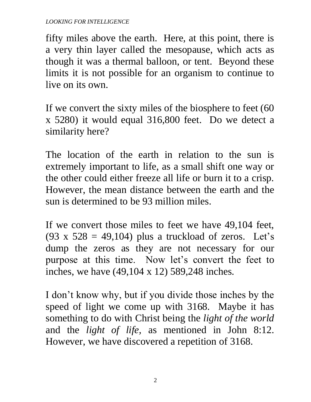fifty miles above the earth. Here, at this point, there is a very thin layer called the mesopause, which acts as though it was a thermal balloon, or tent. Beyond these limits it is not possible for an organism to continue to live on its own.

If we convert the sixty miles of the biosphere to feet (60 x 5280) it would equal 316,800 feet. Do we detect a similarity here?

The location of the earth in relation to the sun is extremely important to life, as a small shift one way or the other could either freeze all life or burn it to a crisp. However, the mean distance between the earth and the sun is determined to be 93 million miles.

If we convert those miles to feet we have 49,104 feet, (93 x  $528 = 49,104$ ) plus a truckload of zeros. Let's dump the zeros as they are not necessary for our purpose at this time. Now let's convert the feet to inches, we have (49,104 x 12) 589,248 inches.

I don't know why, but if you divide those inches by the speed of light we come up with 3168. Maybe it has something to do with Christ being the *light of the world* and the *light of life,* as mentioned in John 8:12. However, we have discovered a repetition of 3168.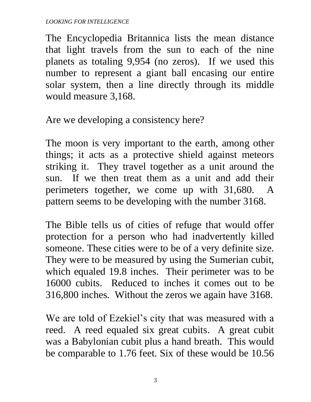The Encyclopedia Britannica lists the mean distance that light travels from the sun to each of the nine planets as totaling 9,954 (no zeros). If we used this number to represent a giant ball encasing our entire solar system, then a line directly through its middle would measure 3,168.

Are we developing a consistency here?

The moon is very important to the earth, among other things; it acts as a protective shield against meteors striking it. They travel together as a unit around the sun. If we then treat them as a unit and add their perimeters together, we come up with 31,680. A pattern seems to be developing with the number 3168.

The Bible tells us of cities of refuge that would offer protection for a person who had inadvertently killed someone. These cities were to be of a very definite size. They were to be measured by using the Sumerian cubit, which equaled 19.8 inches. Their perimeter was to be 16000 cubits. Reduced to inches it comes out to be 316,800 inches. Without the zeros we again have 3168.

We are told of Ezekiel's city that was measured with a reed. A reed equaled six great cubits. A great cubit was a Babylonian cubit plus a hand breath. This would be comparable to 1.76 feet. Six of these would be 10.56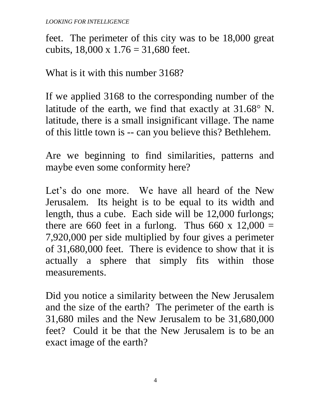feet. The perimeter of this city was to be 18,000 great cubits,  $18,000 \times 1.76 = 31,680$  feet.

What is it with this number 3168?

If we applied 3168 to the corresponding number of the latitude of the earth, we find that exactly at  $31.68^\circ$  N. latitude, there is a small insignificant village. The name of this little town is -- can you believe this? Bethlehem.

Are we beginning to find similarities, patterns and maybe even some conformity here?

Let's do one more. We have all heard of the New Jerusalem. Its height is to be equal to its width and length, thus a cube. Each side will be 12,000 furlongs; there are 660 feet in a furlong. Thus 660 x  $12,000 =$ 7,920,000 per side multiplied by four gives a perimeter of 31,680,000 feet. There is evidence to show that it is actually a sphere that simply fits within those measurements.

Did you notice a similarity between the New Jerusalem and the size of the earth? The perimeter of the earth is 31,680 miles and the New Jerusalem to be 31,680,000 feet? Could it be that the New Jerusalem is to be an exact image of the earth?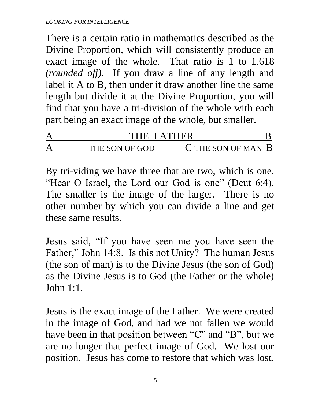There is a certain ratio in mathematics described as the Divine Proportion, which will consistently produce an exact image of the whole. That ratio is 1 to 1.618 *(rounded off).* If you draw a line of any length and label it A to B, then under it draw another line the same length but divide it at the Divine Proportion, you will find that you have a tri-division of the whole with each part being an exact image of the whole, but smaller.

| THE FATHER     |                        |  |
|----------------|------------------------|--|
| THE SON OF GOD | $C$ THE SON OF MAN $B$ |  |

By tri-viding we have three that are two, which is one. "Hear O Israel, the Lord our God is one" (Deut 6:4). The smaller is the image of the larger. There is no other number by which you can divide a line and get these same results.

Jesus said, "If you have seen me you have seen the Father," John 14:8. Is this not Unity? The human Jesus (the son of man) is to the Divine Jesus (the son of God) as the Divine Jesus is to God (the Father or the whole) John 1:1.

Jesus is the exact image of the Father. We were created in the image of God, and had we not fallen we would have been in that position between "C" and "B", but we are no longer that perfect image of God. We lost our position. Jesus has come to restore that which was lost.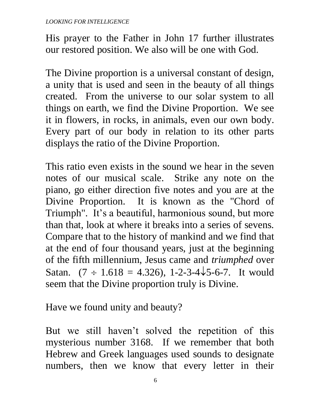His prayer to the Father in John 17 further illustrates our restored position. We also will be one with God.

The Divine proportion is a universal constant of design, a unity that is used and seen in the beauty of all things created. From the universe to our solar system to all things on earth, we find the Divine Proportion. We see it in flowers, in rocks, in animals, even our own body. Every part of our body in relation to its other parts displays the ratio of the Divine Proportion.

This ratio even exists in the sound we hear in the seven notes of our musical scale. Strike any note on the piano, go either direction five notes and you are at the Divine Proportion. It is known as the "Chord of Triumph". It's a beautiful, harmonious sound, but more than that, look at where it breaks into a series of sevens. Compare that to the history of mankind and we find that at the end of four thousand years, just at the beginning of the fifth millennium, Jesus came and *triumphed* over Satan.  $(7 \div 1.618 = 4.326)$ , 1-2-3-4 $\sqrt{5}$ -6-7. It would seem that the Divine proportion truly is Divine.

Have we found unity and beauty?

But we still haven't solved the repetition of this mysterious number 3168. If we remember that both Hebrew and Greek languages used sounds to designate numbers, then we know that every letter in their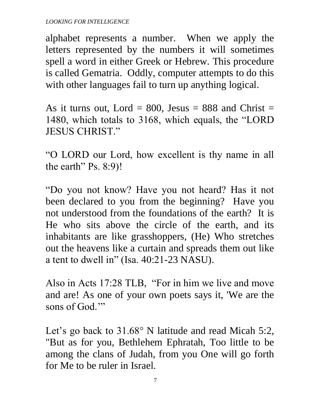alphabet represents a number. When we apply the letters represented by the numbers it will sometimes spell a word in either Greek or Hebrew. This procedure is called Gematria. Oddly, computer attempts to do this with other languages fail to turn up anything logical.

As it turns out, Lord = 800, Jesus = 888 and Christ = 1480, which totals to 3168, which equals, the "LORD JESUS CHRIST."

"O LORD our Lord, how excellent is thy name in all the earth" Ps. 8:9)!

"Do you not know? Have you not heard? Has it not been declared to you from the beginning? Have you not understood from the foundations of the earth? It is He who sits above the circle of the earth, and its inhabitants are like grasshoppers, (He) Who stretches out the heavens like a curtain and spreads them out like a tent to dwell in" (Isa. 40:21-23 NASU).

Also in Acts 17:28 TLB, "For in him we live and move and are! As one of your own poets says it, 'We are the sons of God."

Let's go back to  $31.68^\circ$  N latitude and read Micah 5:2, "But as for you, Bethlehem Ephratah, Too little to be among the clans of Judah, from you One will go forth for Me to be ruler in Israel.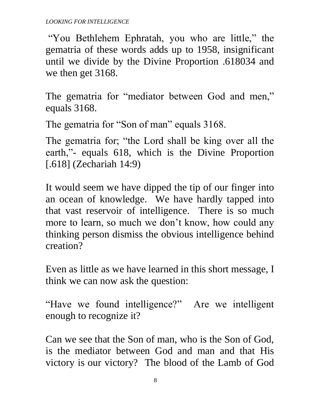"You Bethlehem Ephratah, you who are little," the gematria of these words adds up to 1958, insignificant until we divide by the Divine Proportion .618034 and we then get 3168.

The gematria for "mediator between God and men," equals 3168.

The gematria for "Son of man" equals 3168.

The gematria for; "the Lord shall be king over all the earth,"- equals 618, which is the Divine Proportion [.618] (Zechariah 14:9)

It would seem we have dipped the tip of our finger into an ocean of knowledge. We have hardly tapped into that vast reservoir of intelligence. There is so much more to learn, so much we don't know, how could any thinking person dismiss the obvious intelligence behind creation?

Even as little as we have learned in this short message, I think we can now ask the question:

"Have we found intelligence?" Are we intelligent enough to recognize it?

Can we see that the Son of man, who is the Son of God, is the mediator between God and man and that His victory is our victory? The blood of the Lamb of God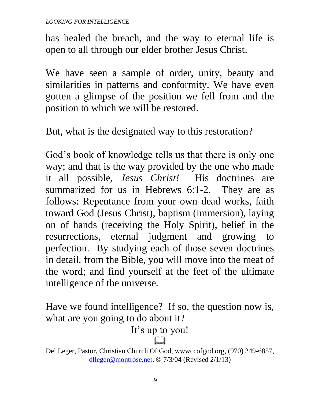has healed the breach, and the way to eternal life is open to all through our elder brother Jesus Christ.

We have seen a sample of order, unity, beauty and similarities in patterns and conformity. We have even gotten a glimpse of the position we fell from and the position to which we will be restored.

But, what is the designated way to this restoration?

God's book of knowledge tells us that there is only one way; and that is the way provided by the one who made it all possible, *Jesus Christ!* His doctrines are summarized for us in Hebrews 6:1-2. They are as follows: Repentance from your own dead works, faith toward God (Jesus Christ), baptism (immersion), laying on of hands (receiving the Holy Spirit), belief in the resurrections, eternal judgment and growing to perfection. By studying each of those seven doctrines in detail, from the Bible, you will move into the meat of the word; and find yourself at the feet of the ultimate intelligence of the universe.

Have we found intelligence? If so, the question now is, what are you going to do about it?

It's up to you!

 $\Box$ Del Leger, Pastor, Christian Church Of God, wwwccofgod.org, (970) 249-6857, [dlleger@montrose.net.](mailto:dlleger@montrose.net)  $\odot$  7/3/04 (Revised 2/1/13)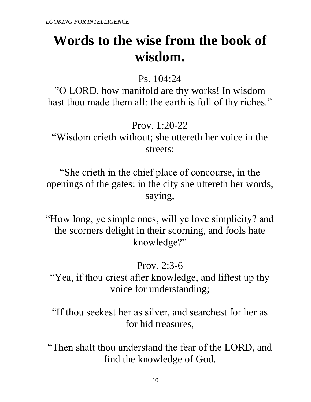# **Words to the wise from the book of wisdom.**

Ps. 104:24

"O LORD, how manifold are thy works! In wisdom hast thou made them all: the earth is full of thy riches."

Prov. 1:20-22

"Wisdom crieth without; she uttereth her voice in the streets:

"She crieth in the chief place of concourse, in the openings of the gates: in the city she uttereth her words, saying,

"How long, ye simple ones, will ye love simplicity? and the scorners delight in their scorning, and fools hate knowledge?"

Prov. 2:3-6

"Yea, if thou criest after knowledge, and liftest up thy voice for understanding;

"If thou seekest her as silver, and searchest for her as for hid treasures,

"Then shalt thou understand the fear of the LORD, and find the knowledge of God.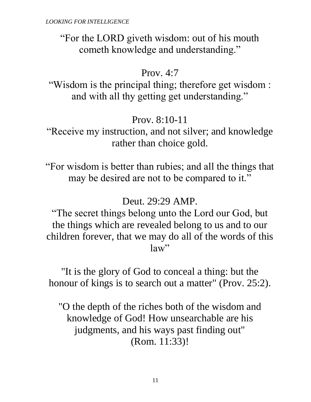"For the LORD giveth wisdom: out of his mouth cometh knowledge and understanding."

## Prov. 4:7

"Wisdom is the principal thing; therefore get wisdom : and with all thy getting get understanding."

## Prov. 8:10-11

"Receive my instruction, and not silver; and knowledge rather than choice gold.

"For wisdom is better than rubies; and all the things that may be desired are not to be compared to it."

## Deut. 29:29 AMP.

"The secret things belong unto the Lord our God, but the things which are revealed belong to us and to our children forever, that we may do all of the words of this law"

"It is the glory of God to conceal a thing: but the honour of kings is to search out a matter" (Prov. 25:2).

"O the depth of the riches both of the wisdom and knowledge of God! How unsearchable are his judgments, and his ways past finding out" (Rom. 11:33)!